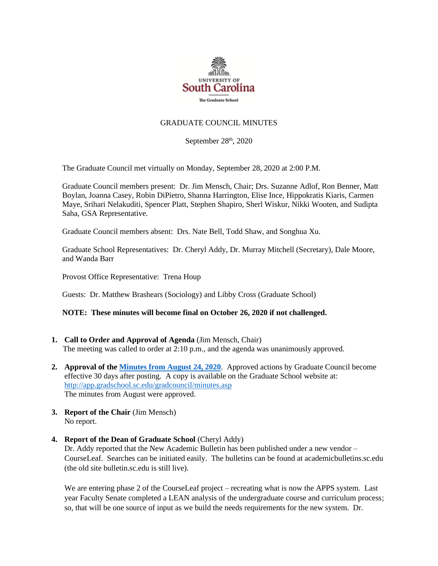

# GRADUATE COUNCIL MINUTES

September 28<sup>th</sup>, 2020

The Graduate Council met virtually on Monday, September 28, 2020 at 2:00 P.M.

Graduate Council members present: Dr. Jim Mensch, Chair; Drs. Suzanne Adlof, Ron Benner, Matt Boylan, Joanna Casey, Robin DiPietro, Shanna Harrington, Elise Ince, Hippokratis Kiaris, Carmen Maye, Srihari Nelakuditi, Spencer Platt, Stephen Shapiro, Sherl Wiskur, Nikki Wooten, and Sudipta Saha, GSA Representative.

Graduate Council members absent: Drs. Nate Bell, Todd Shaw, and Songhua Xu.

Graduate School Representatives: Dr. Cheryl Addy, Dr. Murray Mitchell (Secretary), Dale Moore, and Wanda Barr

Provost Office Representative: Trena Houp

Guests: Dr. Matthew Brashears (Sociology) and Libby Cross (Graduate School)

# **NOTE: These minutes will become final on October 26, 2020 if not challenged.**

- **1. Call to Order and Approval of Agenda** (Jim Mensch, Chair) The meeting was called to order at 2:10 p.m., and the agenda was unanimously approved.
- **2. Approval of th[e Minutes from August 24, 2020](file:///C:/Users/crosse/AppData/Local/Microsoft/Windows/INetCache/Content.Outlook/TEVFGMDL/GCMINS%208.24.20%20MM2wATT.pdf)**. Approved actions by Graduate Council become effective 30 days after posting. A copy is available on the Graduate School website at: <http://app.gradschool.sc.edu/gradcouncil/minutes.asp> The minutes from August were approved.
- **3. Report of the Chair** (Jim Mensch) No report.
- **4. Report of the Dean of Graduate School** (Cheryl Addy) Dr. Addy reported that the New Academic Bulletin has been published under a new vendor – CourseLeaf. Searches can be initiated easily. The bulletins can be found at academicbulletins.sc.edu (the old site bulletin.sc.edu is still live).

We are entering phase 2 of the CourseLeaf project – recreating what is now the APPS system. Last year Faculty Senate completed a LEAN analysis of the undergraduate course and curriculum process; so, that will be one source of input as we build the needs requirements for the new system. Dr.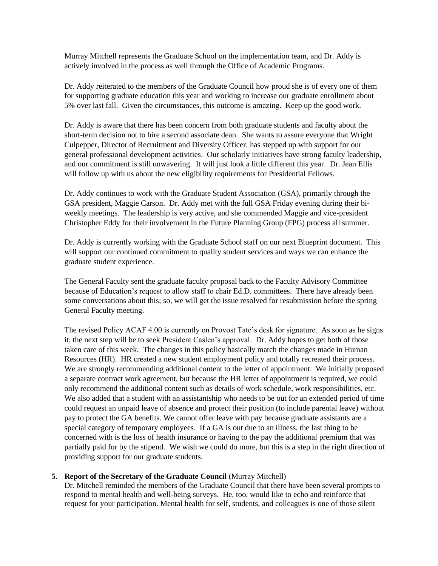Murray Mitchell represents the Graduate School on the implementation team, and Dr. Addy is actively involved in the process as well through the Office of Academic Programs.

Dr. Addy reiterated to the members of the Graduate Council how proud she is of every one of them for supporting graduate education this year and working to increase our graduate enrollment about 5% over last fall. Given the circumstances, this outcome is amazing. Keep up the good work.

Dr. Addy is aware that there has been concern from both graduate students and faculty about the short-term decision not to hire a second associate dean. She wants to assure everyone that Wright Culpepper, Director of Recruitment and Diversity Officer, has stepped up with support for our general professional development activities. Our scholarly initiatives have strong faculty leadership, and our commitment is still unwavering. It will just look a little different this year. Dr. Jean Ellis will follow up with us about the new eligibility requirements for Presidential Fellows.

Dr. Addy continues to work with the Graduate Student Association (GSA), primarily through the GSA president, Maggie Carson. Dr. Addy met with the full GSA Friday evening during their biweekly meetings. The leadership is very active, and she commended Maggie and vice-president Christopher Eddy for their involvement in the Future Planning Group (FPG) process all summer.

Dr. Addy is currently working with the Graduate School staff on our next Blueprint document. This will support our continued commitment to quality student services and ways we can enhance the graduate student experience.

The General Faculty sent the graduate faculty proposal back to the Faculty Advisory Committee because of Education's request to allow staff to chair Ed.D. committees. There have already been some conversations about this; so, we will get the issue resolved for resubmission before the spring General Faculty meeting.

The revised Policy ACAF 4.00 is currently on Provost Tate's desk for signature. As soon as he signs it, the next step will be to seek President Caslen's approval. Dr. Addy hopes to get both of those taken care of this week. The changes in this policy basically match the changes made in Human Resources (HR). HR created a new student employment policy and totally recreated their process. We are strongly recommending additional content to the letter of appointment. We initially proposed a separate contract work agreement, but because the HR letter of appointment is required, we could only recommend the additional content such as details of work schedule, work responsibilities, etc. We also added that a student with an assistantship who needs to be out for an extended period of time could request an unpaid leave of absence and protect their position (to include parental leave) without pay to protect the GA benefits. We cannot offer leave with pay because graduate assistants are a special category of temporary employees. If a GA is out due to an illness, the last thing to be concerned with is the loss of health insurance or having to the pay the additional premium that was partially paid for by the stipend. We wish we could do more, but this is a step in the right direction of providing support for our graduate students.

# **5. Report of the Secretary of the Graduate Council** (Murray Mitchell)

Dr. Mitchell reminded the members of the Graduate Council that there have been several prompts to respond to mental health and well-being surveys. He, too, would like to echo and reinforce that request for your participation. Mental health for self, students, and colleagues is one of those silent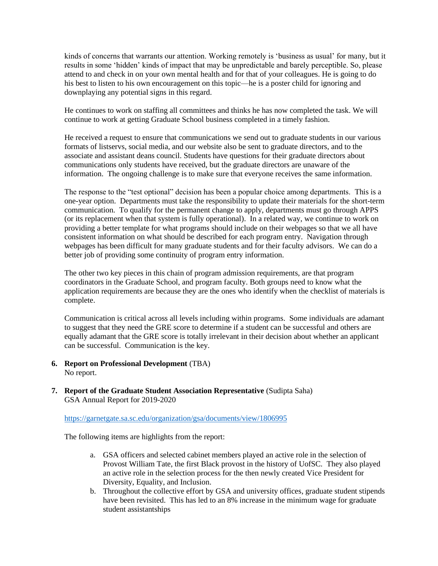kinds of concerns that warrants our attention. Working remotely is 'business as usual' for many, but it results in some 'hidden' kinds of impact that may be unpredictable and barely perceptible. So, please attend to and check in on your own mental health and for that of your colleagues. He is going to do his best to listen to his own encouragement on this topic—he is a poster child for ignoring and downplaying any potential signs in this regard.

He continues to work on staffing all committees and thinks he has now completed the task. We will continue to work at getting Graduate School business completed in a timely fashion.

He received a request to ensure that communications we send out to graduate students in our various formats of listservs, social media, and our website also be sent to graduate directors, and to the associate and assistant deans council. Students have questions for their graduate directors about communications only students have received, but the graduate directors are unaware of the information. The ongoing challenge is to make sure that everyone receives the same information.

The response to the "test optional" decision has been a popular choice among departments. This is a one-year option. Departments must take the responsibility to update their materials for the short-term communication. To qualify for the permanent change to apply, departments must go through APPS (or its replacement when that system is fully operational). In a related way, we continue to work on providing a better template for what programs should include on their webpages so that we all have consistent information on what should be described for each program entry. Navigation through webpages has been difficult for many graduate students and for their faculty advisors. We can do a better job of providing some continuity of program entry information.

The other two key pieces in this chain of program admission requirements, are that program coordinators in the Graduate School, and program faculty. Both groups need to know what the application requirements are because they are the ones who identify when the checklist of materials is complete.

Communication is critical across all levels including within programs. Some individuals are adamant to suggest that they need the GRE score to determine if a student can be successful and others are equally adamant that the GRE score is totally irrelevant in their decision about whether an applicant can be successful. Communication is the key.

- **6. Report on Professional Development** (TBA) No report.
- **7. Report of the Graduate Student Association Representative** (Sudipta Saha) GSA Annual Report for 2019-2020

<https://garnetgate.sa.sc.edu/organization/gsa/documents/view/1806995>

The following items are highlights from the report:

- a. GSA officers and selected cabinet members played an active role in the selection of Provost William Tate, the first Black provost in the history of UofSC. They also played an active role in the selection process for the then newly created Vice President for Diversity, Equality, and Inclusion.
- b. Throughout the collective effort by GSA and university offices, graduate student stipends have been revisited. This has led to an 8% increase in the minimum wage for graduate student assistantships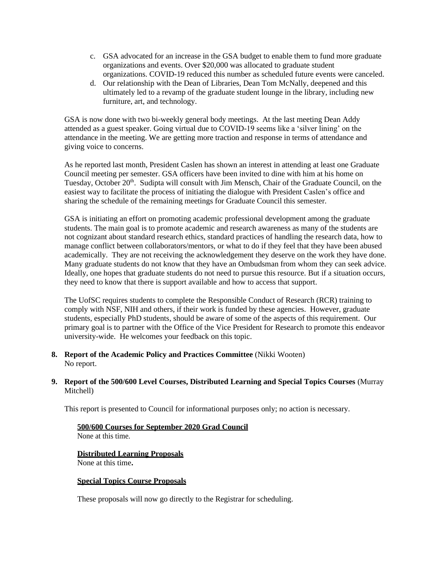- c. GSA advocated for an increase in the GSA budget to enable them to fund more graduate organizations and events. Over \$20,000 was allocated to graduate student organizations. COVID-19 reduced this number as scheduled future events were canceled.
- d. Our relationship with the Dean of Libraries, Dean Tom McNally, deepened and this ultimately led to a revamp of the graduate student lounge in the library, including new furniture, art, and technology.

GSA is now done with two bi-weekly general body meetings. At the last meeting Dean Addy attended as a guest speaker. Going virtual due to COVID-19 seems like a 'silver lining' on the attendance in the meeting. We are getting more traction and response in terms of attendance and giving voice to concerns.

As he reported last month, President Caslen has shown an interest in attending at least one Graduate Council meeting per semester. GSA officers have been invited to dine with him at his home on Tuesday, October 20<sup>th</sup>. Sudipta will consult with Jim Mensch, Chair of the Graduate Council, on the easiest way to facilitate the process of initiating the dialogue with President Caslen's office and sharing the schedule of the remaining meetings for Graduate Council this semester.

GSA is initiating an effort on promoting academic professional development among the graduate students. The main goal is to promote academic and research awareness as many of the students are not cognizant about standard research ethics, standard practices of handling the research data, how to manage conflict between collaborators/mentors, or what to do if they feel that they have been abused academically. They are not receiving the acknowledgement they deserve on the work they have done. Many graduate students do not know that they have an Ombudsman from whom they can seek advice. Ideally, one hopes that graduate students do not need to pursue this resource. But if a situation occurs, they need to know that there is support available and how to access that support.

The UofSC requires students to complete the Responsible Conduct of Research (RCR) training to comply with NSF, NIH and others, if their work is funded by these agencies. However, graduate students, especially PhD students, should be aware of some of the aspects of this requirement. Our primary goal is to partner with the Office of the Vice President for Research to promote this endeavor university-wide. He welcomes your feedback on this topic.

**8. Report of the Academic Policy and Practices Committee** (Nikki Wooten) No report.

# **9. Report of the 500/600 Level Courses, Distributed Learning and Special Topics Courses** (Murray Mitchell)

This report is presented to Council for informational purposes only; no action is necessary.

# **500/600 Courses for September 2020 Grad Council**

None at this time.

# **Distributed Learning Proposals**

None at this time**.**

# **Special Topics Course Proposals**

These proposals will now go directly to the Registrar for scheduling.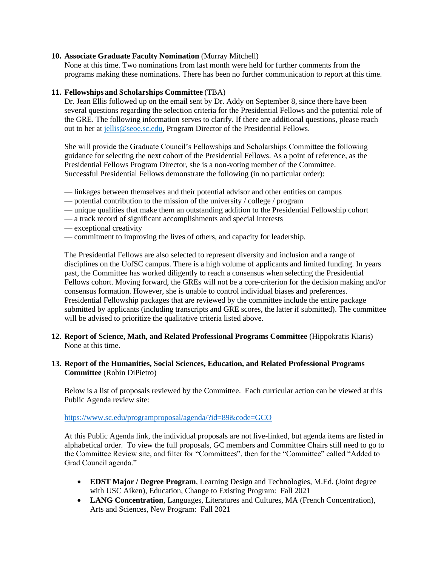### **10. Associate Graduate Faculty Nomination** (Murray Mitchell)

None at this time. Two nominations from last month were held for further comments from the programs making these nominations. There has been no further communication to report at this time.

### **11. Fellowships and Scholarships Committee** (TBA)

Dr. Jean Ellis followed up on the email sent by Dr. Addy on September 8, since there have been several questions regarding the selection criteria for the Presidential Fellows and the potential role of the GRE. The following information serves to clarify. If there are additional questions, please reach out to her at [jellis@seoe.sc.edu,](mailto:jellis@seoe.sc.edu) Program Director of the Presidential Fellows.

She will provide the Graduate Council's Fellowships and Scholarships Committee the following guidance for selecting the next cohort of the Presidential Fellows. As a point of reference, as the Presidential Fellows Program Director, she is a non-voting member of the Committee. Successful Presidential Fellows demonstrate the following (in no particular order):

- linkages between themselves and their potential advisor and other entities on campus
- potential contribution to the mission of the university / college / program
- unique qualities that make them an outstanding addition to the Presidential Fellowship cohort
- a track record of significant accomplishments and special interests
- exceptional creativity
- commitment to improving the lives of others, and capacity for leadership.

The Presidential Fellows are also selected to represent diversity and inclusion and a range of disciplines on the UofSC campus. There is a high volume of applicants and limited funding. In years past, the Committee has worked diligently to reach a consensus when selecting the Presidential Fellows cohort. Moving forward, the GREs will not be a core-criterion for the decision making and/or consensus formation. However, she is unable to control individual biases and preferences. Presidential Fellowship packages that are reviewed by the committee include the entire package submitted by applicants (including transcripts and GRE scores, the latter if submitted). The committee will be advised to prioritize the qualitative criteria listed above.

**12. Report of Science, Math, and Related Professional Programs Committee** (Hippokratis Kiaris) None at this time.

### **13. Report of the Humanities, Social Sciences, Education, and Related Professional Programs Committee** (Robin DiPietro)

Below is a list of proposals reviewed by the Committee. Each curricular action can be viewed at this Public Agenda review site:

#### <https://www.sc.edu/programproposal/agenda/?id=89&code=GCO>

At this Public Agenda link, the individual proposals are not live-linked, but agenda items are listed in alphabetical order. To view the full proposals, GC members and Committee Chairs still need to go to the Committee Review site, and filter for "Committees", then for the "Committee" called "Added to Grad Council agenda."

- **EDST Major / Degree Program**, Learning Design and Technologies, M.Ed. (Joint degree with USC Aiken), Education, Change to Existing Program: Fall 2021
- **LANG Concentration**, Languages, Literatures and Cultures, MA (French Concentration), Arts and Sciences, New Program: Fall 2021